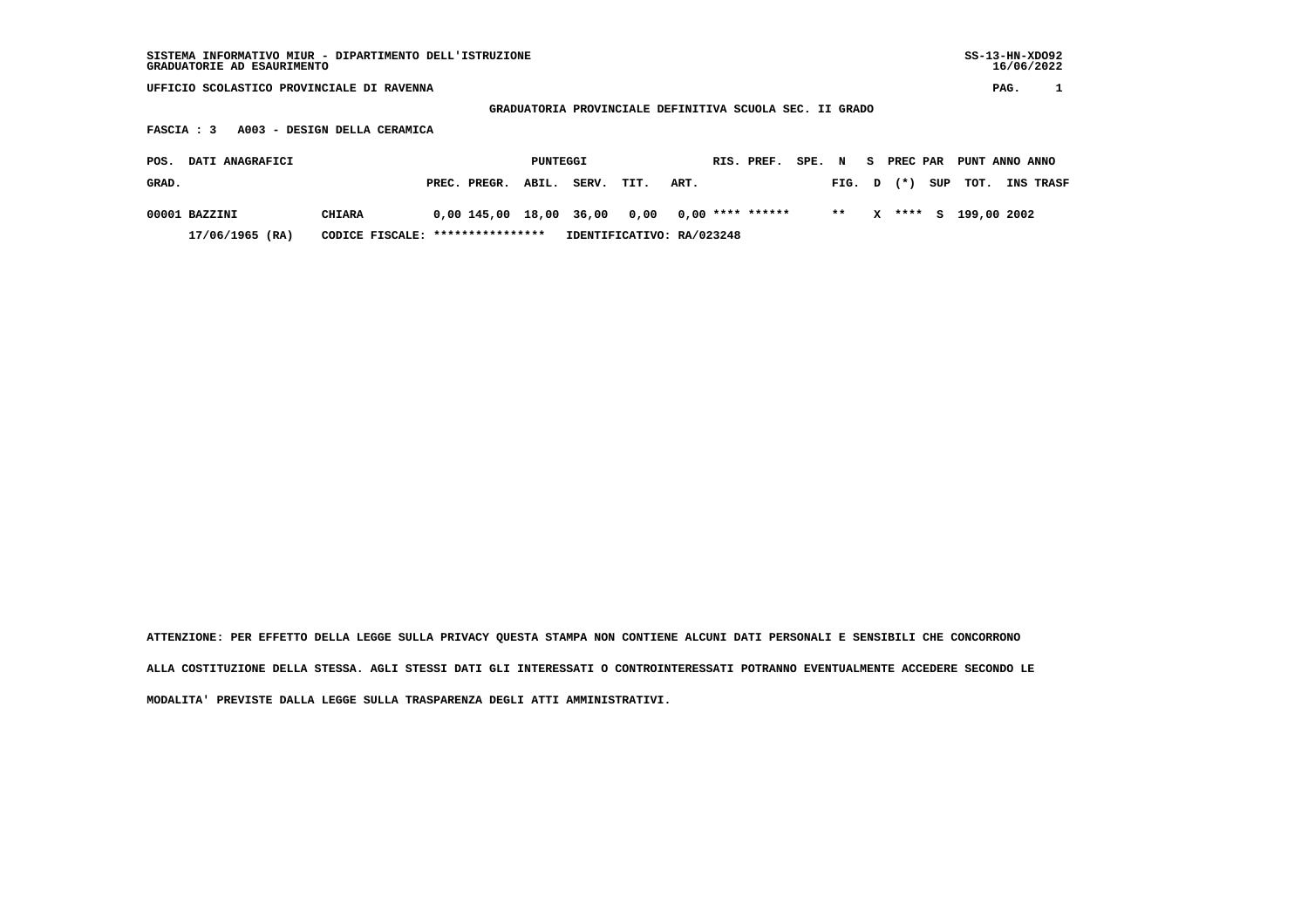| SISTEMA INFORMATIVO MIUR - DIPARTIMENTO DELL'ISTRUZIONE<br>GRADUATORIE AD ESAURIMENTO |  |              |                                                         |       |      |      |  |            |      |      |   | $SS-13-HN-XDO92$<br>16/06/2022 |     |                |      |           |
|---------------------------------------------------------------------------------------|--|--------------|---------------------------------------------------------|-------|------|------|--|------------|------|------|---|--------------------------------|-----|----------------|------|-----------|
| UFFICIO SCOLASTICO PROVINCIALE DI RAVENNA                                             |  |              |                                                         |       |      |      |  |            |      |      |   |                                |     |                | PAG. |           |
|                                                                                       |  |              | GRADUATORIA PROVINCIALE DEFINITIVA SCUOLA SEC. II GRADO |       |      |      |  |            |      |      |   |                                |     |                |      |           |
| A003 - DESIGN DELLA CERAMICA<br><b>FASCIA: 3</b>                                      |  |              |                                                         |       |      |      |  |            |      |      |   |                                |     |                |      |           |
|                                                                                       |  |              |                                                         |       |      |      |  |            |      |      |   |                                |     |                |      |           |
| DATI ANAGRAFICI<br>POS.                                                               |  |              | PUNTEGGI                                                |       |      |      |  | RIS. PREF. | SPE. | N    | s | PREC PAR                       |     | PUNT ANNO ANNO |      |           |
| GRAD.                                                                                 |  | PREC. PREGR. | ABIL.                                                   | SERV. | TIT. | ART. |  |            |      | FIG. | D | $($ $*$ $)$                    | SUP | тот.           |      | INS TRASF |

 **00001 BAZZINI CHIARA 0,00 145,00 18,00 36,00 0,00 0,00 \*\*\*\* \*\*\*\*\*\* \*\* X \*\*\*\* S 199,00 2002 17/06/1965 (RA) CODICE FISCALE: \*\*\*\*\*\*\*\*\*\*\*\*\*\*\*\* IDENTIFICATIVO: RA/023248**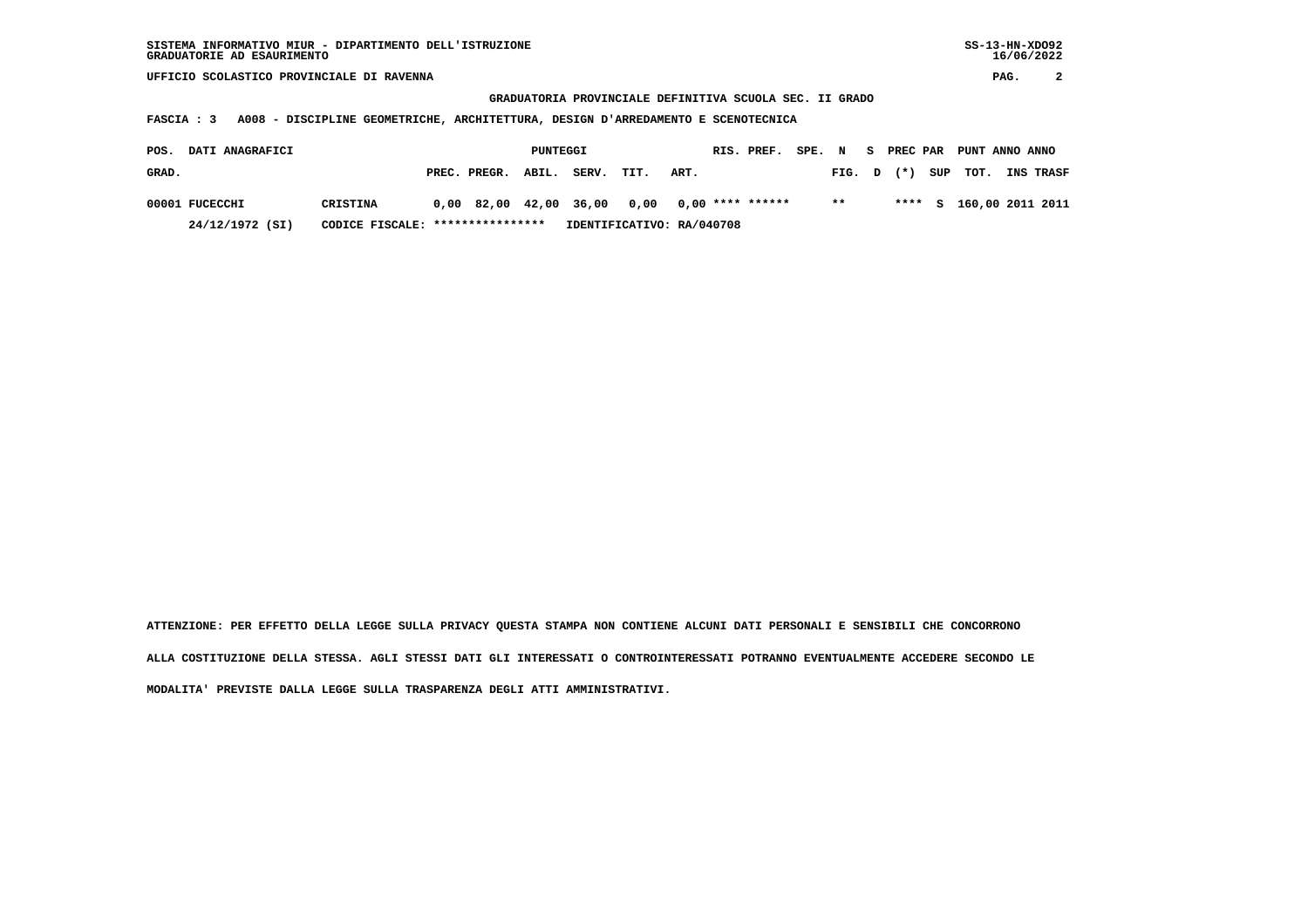**UFFICIO SCOLASTICO PROVINCIALE DI RAVENNA PAG. 2**

 **GRADUATORIA PROVINCIALE DEFINITIVA SCUOLA SEC. II GRADO**

 **FASCIA : 3 A008 - DISCIPLINE GEOMETRICHE, ARCHITETTURA, DESIGN D'ARREDAMENTO E SCENOTECNICA**

| POS.  | <b>DATI ANAGRAFICI</b> |                                  |                    | PUNTEGGI |                                                |                           |      | RIS. PREF. SPE. N S PREC PAR PUNT ANNO ANNO |        |       |          |                         |
|-------|------------------------|----------------------------------|--------------------|----------|------------------------------------------------|---------------------------|------|---------------------------------------------|--------|-------|----------|-------------------------|
| GRAD. |                        |                                  | PREC. PREGR. ABIL. |          | SERV.                                          | TIT.                      | ART. |                                             | FIG. D | $(*)$ | SUP TOT. | <b>INS TRASF</b>        |
|       | 00001 FUCECCHI         | CRISTINA                         |                    |          | $0.00$ 82.00 42.00 36.00 0.00 0.00 **** ****** |                           |      |                                             | $***$  |       |          | **** S 160,00 2011 2011 |
|       | 24/12/1972 (SI)        | CODICE FISCALE: **************** |                    |          |                                                | IDENTIFICATIVO: RA/040708 |      |                                             |        |       |          |                         |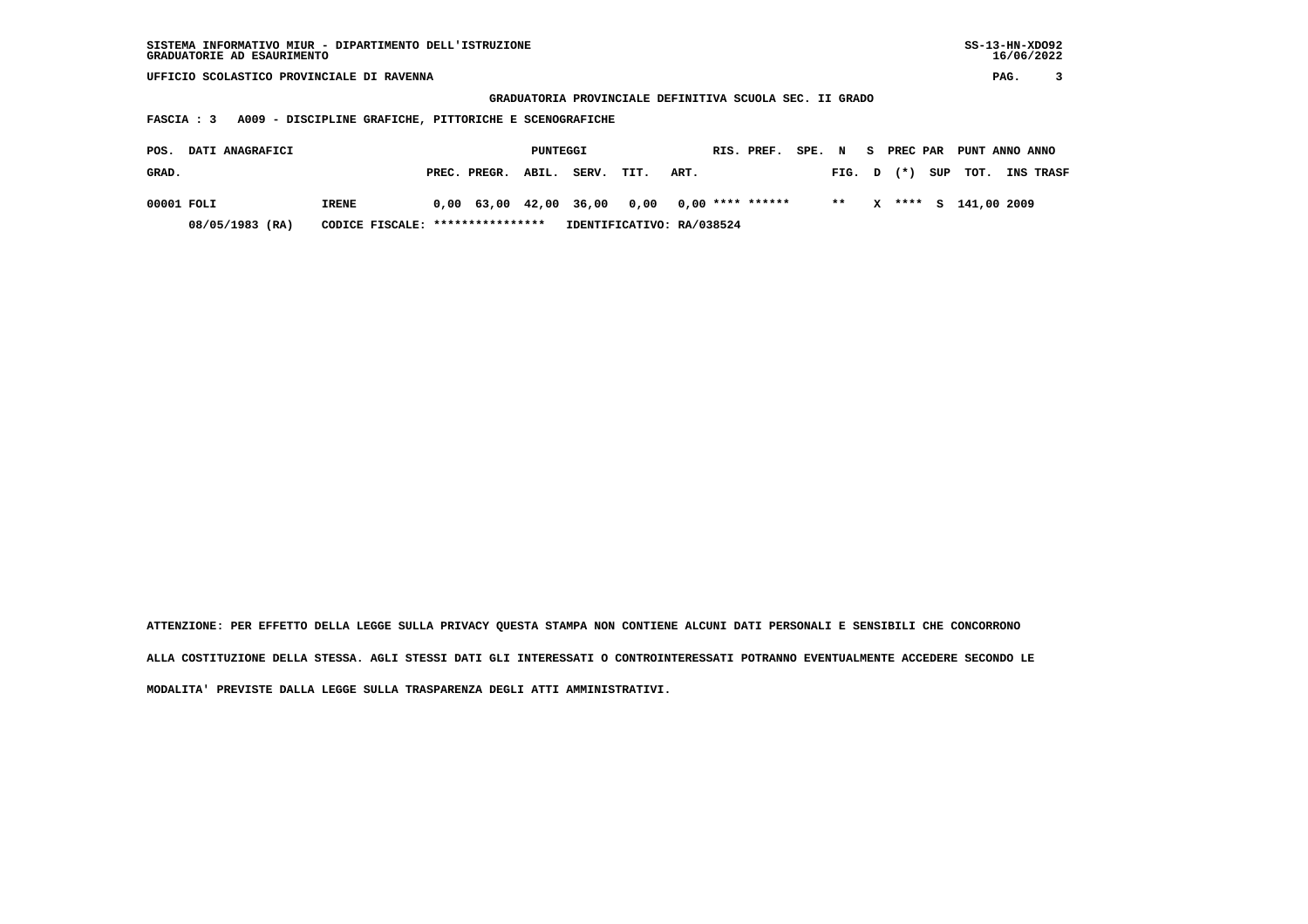| SISTEMA INFORMATIVO MIUR - DIPARTIMENTO DELL'ISTRUZIONE | SS-13-HN-XD092 |
|---------------------------------------------------------|----------------|
| GRADUATORIE AD ESAURIMENTO                              | 16/06/2022     |

 **UFFICIO SCOLASTICO PROVINCIALE DI RAVENNA PAG. 3**

 **GRADUATORIA PROVINCIALE DEFINITIVA SCUOLA SEC. II GRADO**

 **FASCIA : 3 A009 - DISCIPLINE GRAFICHE, PITTORICHE E SCENOGRAFICHE**

| POS.       | <b>DATI ANAGRAFICI</b> |                                  |                               | PUNTEGGI |                                                |      | RIS. PREF. SPE. N S PREC PAR PUNT ANNO ANNO |       |  |                      |                               |
|------------|------------------------|----------------------------------|-------------------------------|----------|------------------------------------------------|------|---------------------------------------------|-------|--|----------------------|-------------------------------|
| GRAD.      |                        |                                  | PREC. PREGR. ABIL. SERV. TIT. |          |                                                | ART. |                                             |       |  |                      | FIG. D (*) SUP TOT. INS TRASF |
| 00001 FOLI |                        | IRENE                            |                               |          | $0.00$ 63.00 42.00 36.00 0.00 0.00 **** ****** |      |                                             | $* *$ |  | X **** S 141,00 2009 |                               |
|            | 08/05/1983 (RA)        | CODICE FISCALE: **************** |                               |          | IDENTIFICATIVO: RA/038524                      |      |                                             |       |  |                      |                               |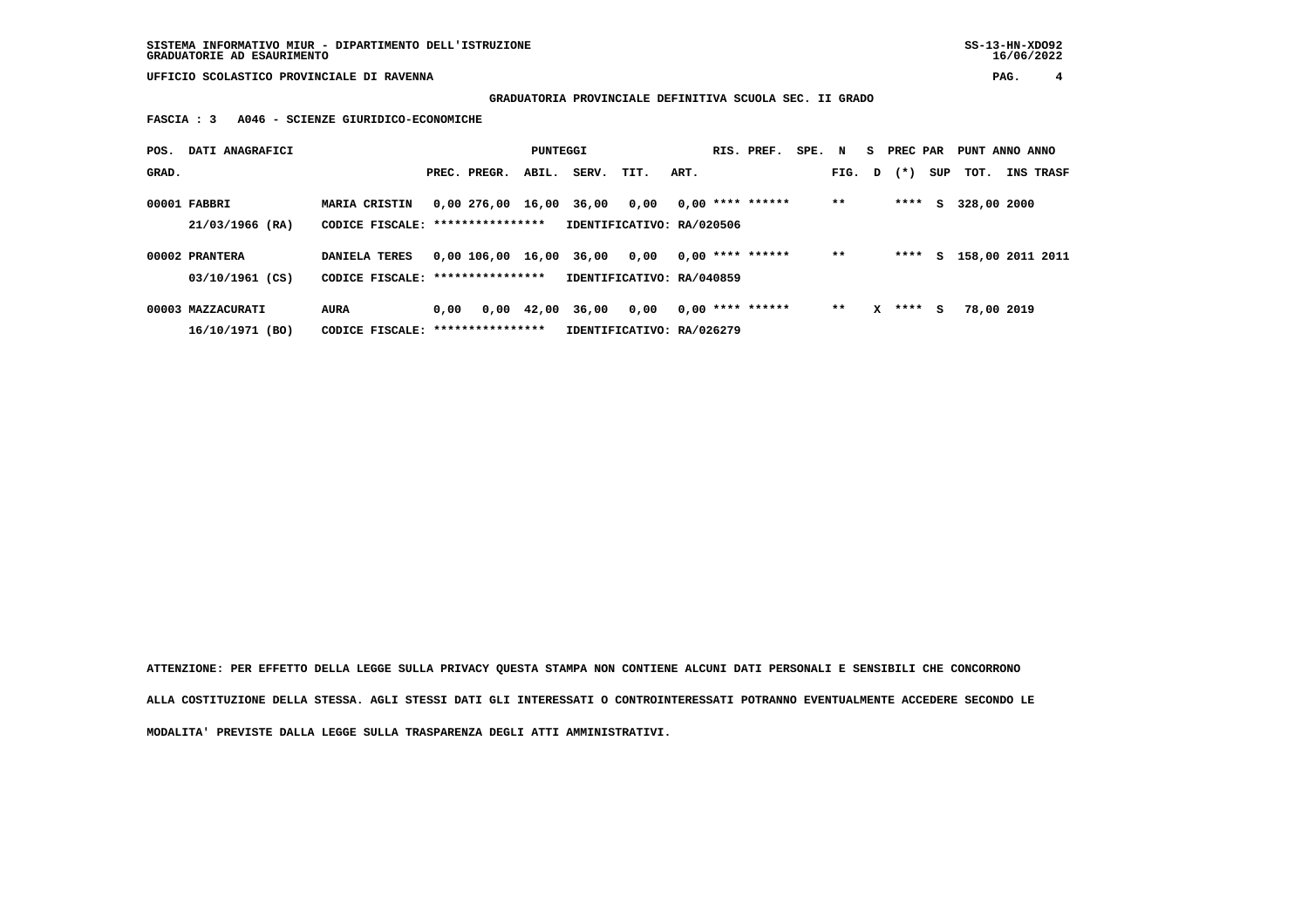**UFFICIO SCOLASTICO PROVINCIALE DI RAVENNA PAG. 4**

 **GRADUATORIA PROVINCIALE DEFINITIVA SCUOLA SEC. II GRADO**

 **FASCIA : 3 A046 - SCIENZE GIURIDICO-ECONOMICHE**

| POS.  | DATI ANAGRAFICI   |                                   |      |                         | PUNTEGGI   |                           |                           |      | RIS. PREF.         | SPE. N |        |   | S PREC PAR |     | PUNT ANNO ANNO     |           |
|-------|-------------------|-----------------------------------|------|-------------------------|------------|---------------------------|---------------------------|------|--------------------|--------|--------|---|------------|-----|--------------------|-----------|
| GRAD. |                   |                                   |      | PREC. PREGR.            | ABIL.      | SERV.                     | TIT.                      | ART. |                    |        | FIG. D |   | $(\star)$  | SUP | TOT.               | INS TRASF |
|       | 00001 FABBRI      | <b>MARIA CRISTIN</b>              |      | 0,00 276,00 16,00 36,00 |            |                           | 0,00                      |      | $0,00$ **** ****** |        | $**$   |   | ****       | s   | 328,00 2000        |           |
|       | 21/03/1966 (RA)   | CODICE FISCALE: ***************** |      |                         |            | IDENTIFICATIVO: RA/020506 |                           |      |                    |        |        |   |            |     |                    |           |
|       | 00002 PRANTERA    | DANIELA TERES                     |      | 0,00 106,00 16,00 36,00 |            |                           | 0,00                      |      | $0.00$ **** ****** |        | $**$   |   | ****       |     | S 158,00 2011 2011 |           |
|       | 03/10/1961 (CS)   | CODICE FISCALE: ***************** |      |                         |            | IDENTIFICATIVO: RA/040859 |                           |      |                    |        |        |   |            |     |                    |           |
|       | 00003 MAZZACURATI | <b>AURA</b>                       | 0.00 |                         | 0,00 42,00 | 36,00                     | 0,00                      |      | $0,00$ **** ****** |        | $* *$  | x | ****       | s   | 78,00 2019         |           |
|       | 16/10/1971 (BO)   | CODICE FISCALE: ***************** |      |                         |            |                           | IDENTIFICATIVO: RA/026279 |      |                    |        |        |   |            |     |                    |           |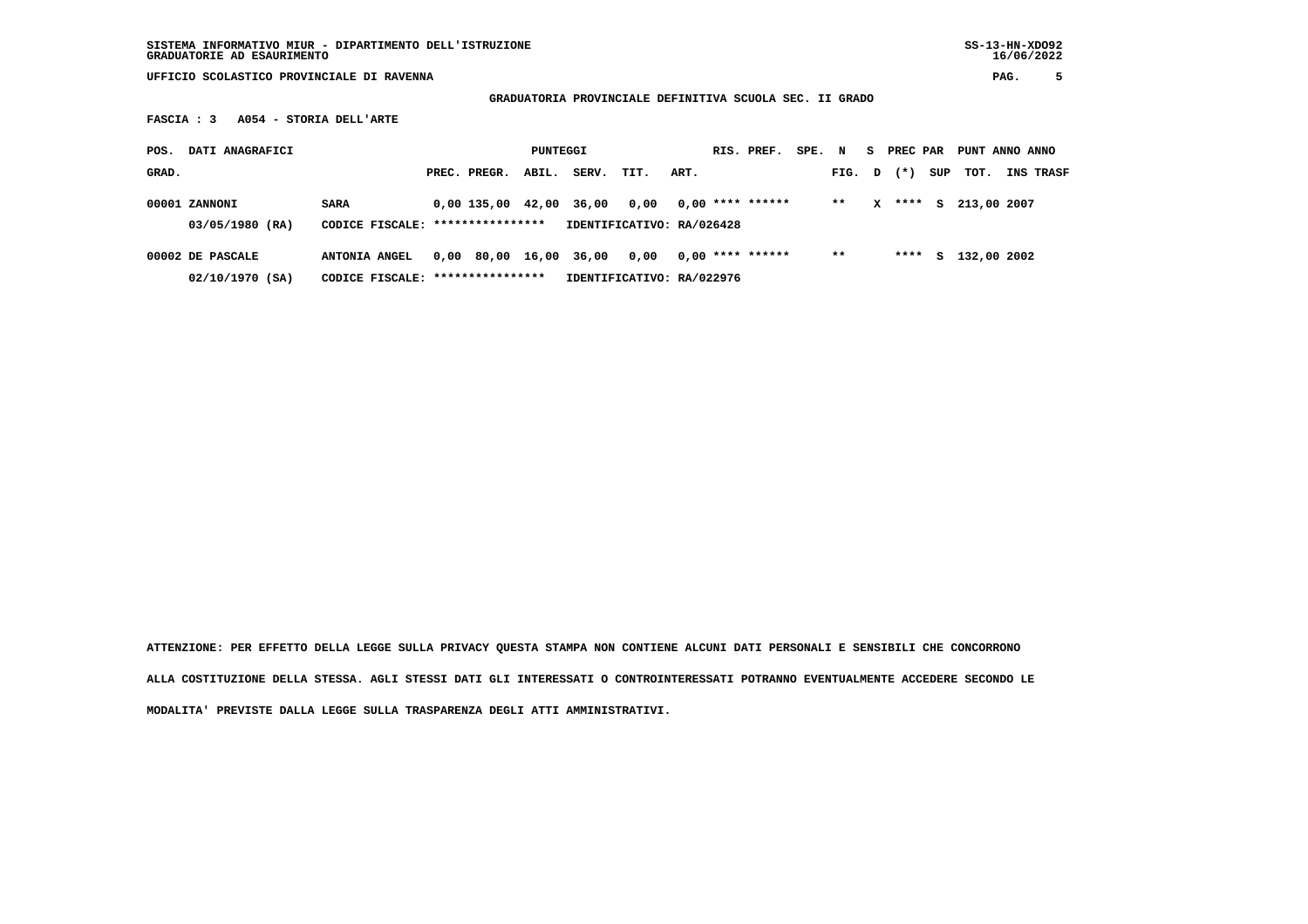**SISTEMA INFORMATIVO MIUR - DIPARTIMENTO DELL'ISTRUZIONE SS-13-HN-XDO92 GRADUATORIE AD ESAURIMENTO 16/06/2022**

 **UFFICIO SCOLASTICO PROVINCIALE DI RAVENNA PAG. 5**

 **GRADUATORIA PROVINCIALE DEFINITIVA SCUOLA SEC. II GRADO**

 **FASCIA : 3 A054 - STORIA DELL'ARTE**

| POS.  | DATI ANAGRAFICI  |                                  |                        | PUNTEGGI |       |                           |      | RIS. PREF.         | SPE. N |        |   | S PREC PAR |     | PUNT ANNO ANNO |                  |
|-------|------------------|----------------------------------|------------------------|----------|-------|---------------------------|------|--------------------|--------|--------|---|------------|-----|----------------|------------------|
| GRAD. |                  |                                  | PREC. PREGR.           | ABIL.    | SERV. | TIT.                      | ART. |                    |        | FIG. D |   | $(* )$     | SUP | тот.           | <b>INS TRASF</b> |
|       | 00001 ZANNONI    | <b>SARA</b>                      | $0.00$ 135.00 42.00    |          | 36,00 | 0.00                      |      | $0,00$ **** ****** |        | $**$   | x | ****       | S.  | 213,00 2007    |                  |
|       | 03/05/1980 (RA)  | CODICE FISCALE: **************** |                        |          |       | IDENTIFICATIVO: RA/026428 |      |                    |        |        |   |            |     |                |                  |
|       | 00002 DE PASCALE | ANTONIA ANGEL                    | 0,00 80,00 16,00 36,00 |          |       | 0.00                      |      | $0,00$ **** ****** |        | $***$  |   | ****       | s   | 132,00 2002    |                  |
|       | 02/10/1970 (SA)  | CODICE FISCALE: **************** |                        |          |       | IDENTIFICATIVO: RA/022976 |      |                    |        |        |   |            |     |                |                  |